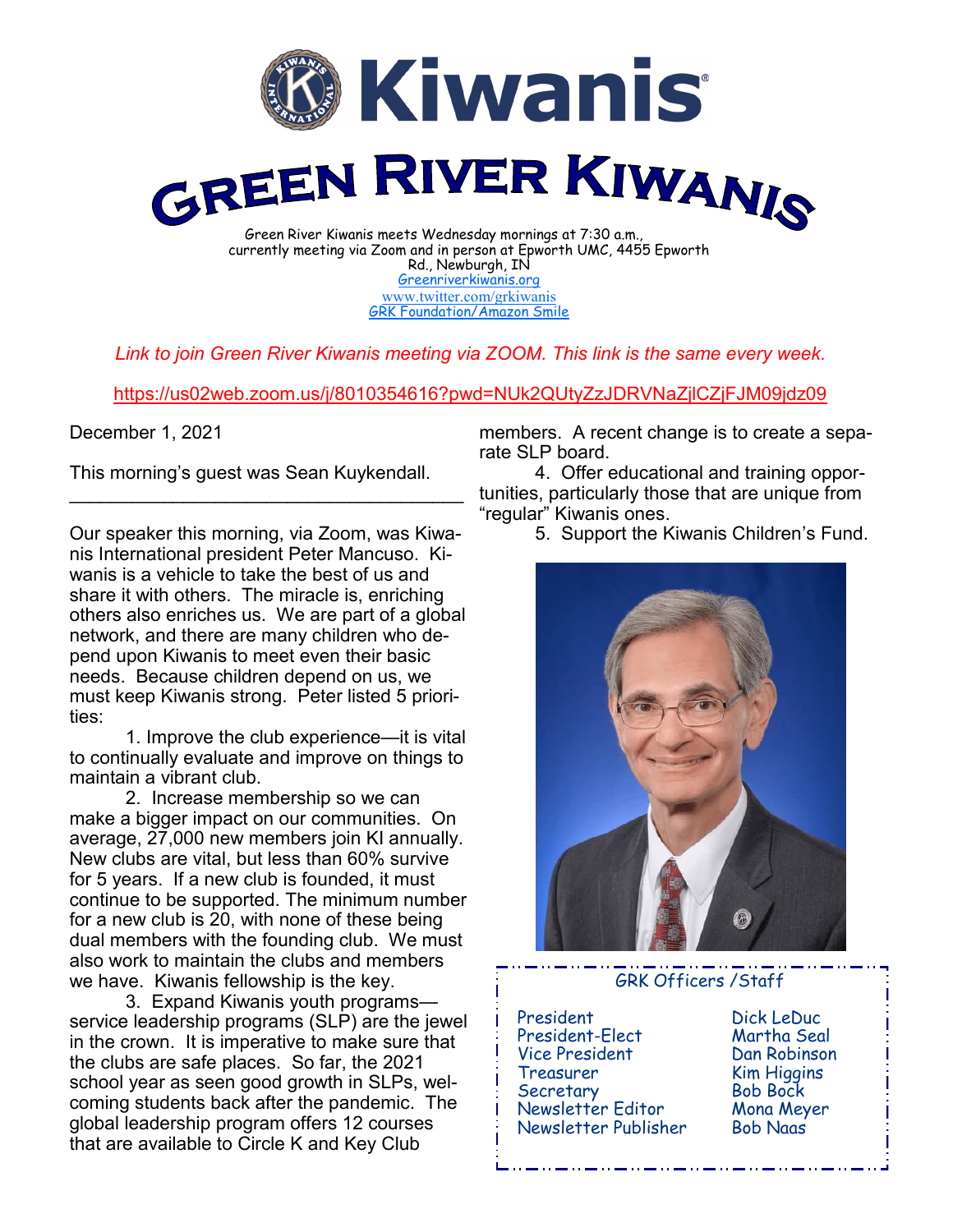

currently meeting via Zoom and in person at Epworth UMC, 4455 Epworth Rd., Newburgh, IN [Greenriverkiwanis.org](http://greenriverkiwanis.org/default.aspx) [www.twitter.com/grkiwanis](http://www.twitter.com/grkiwanis) [GRK Foundation/Amazon Smile](https://smile.amazon.com/ch/81-0946403)

*Link to join Green River Kiwanis meeting via ZOOM. This link is the same every week.*

<https://us02web.zoom.us/j/8010354616?pwd=NUk2QUtyZzJDRVNaZjlCZjFJM09jdz09>

December 1, 2021

This morning's guest was Sean Kuykendall.

 $\mathcal{L}_\text{max}$  , and the set of the set of the set of the set of the set of the set of the set of the set of the set of the set of the set of the set of the set of the set of the set of the set of the set of the set of the

Our speaker this morning, via Zoom, was Kiwanis International president Peter Mancuso. Kiwanis is a vehicle to take the best of us and share it with others. The miracle is, enriching others also enriches us. We are part of a global network, and there are many children who depend upon Kiwanis to meet even their basic needs. Because children depend on us, we must keep Kiwanis strong. Peter listed 5 priorities:

1. Improve the club experience—it is vital to continually evaluate and improve on things to maintain a vibrant club.

2. Increase membership so we can make a bigger impact on our communities. On average, 27,000 new members join KI annually. New clubs are vital, but less than 60% survive for 5 years. If a new club is founded, it must continue to be supported. The minimum number for a new club is 20, with none of these being dual members with the founding club. We must also work to maintain the clubs and members we have. Kiwanis fellowship is the key.

3. Expand Kiwanis youth programs service leadership programs (SLP) are the jewel in the crown. It is imperative to make sure that the clubs are safe places. So far, the 2021 school year as seen good growth in SLPs, welcoming students back after the pandemic. The global leadership program offers 12 courses that are available to Circle K and Key Club

members. A recent change is to create a separate SLP board.

4. Offer educational and training opportunities, particularly those that are unique from "regular" Kiwanis ones.

5. Support the Kiwanis Children's Fund.



GRK Officers /Staff

 President Dick LeDuc President-Elect Vice President Dan Robinson Treasurer Kim Higgins Secretary Newsletter Editor Mona Meyer Newsletter Publisher Bob Naas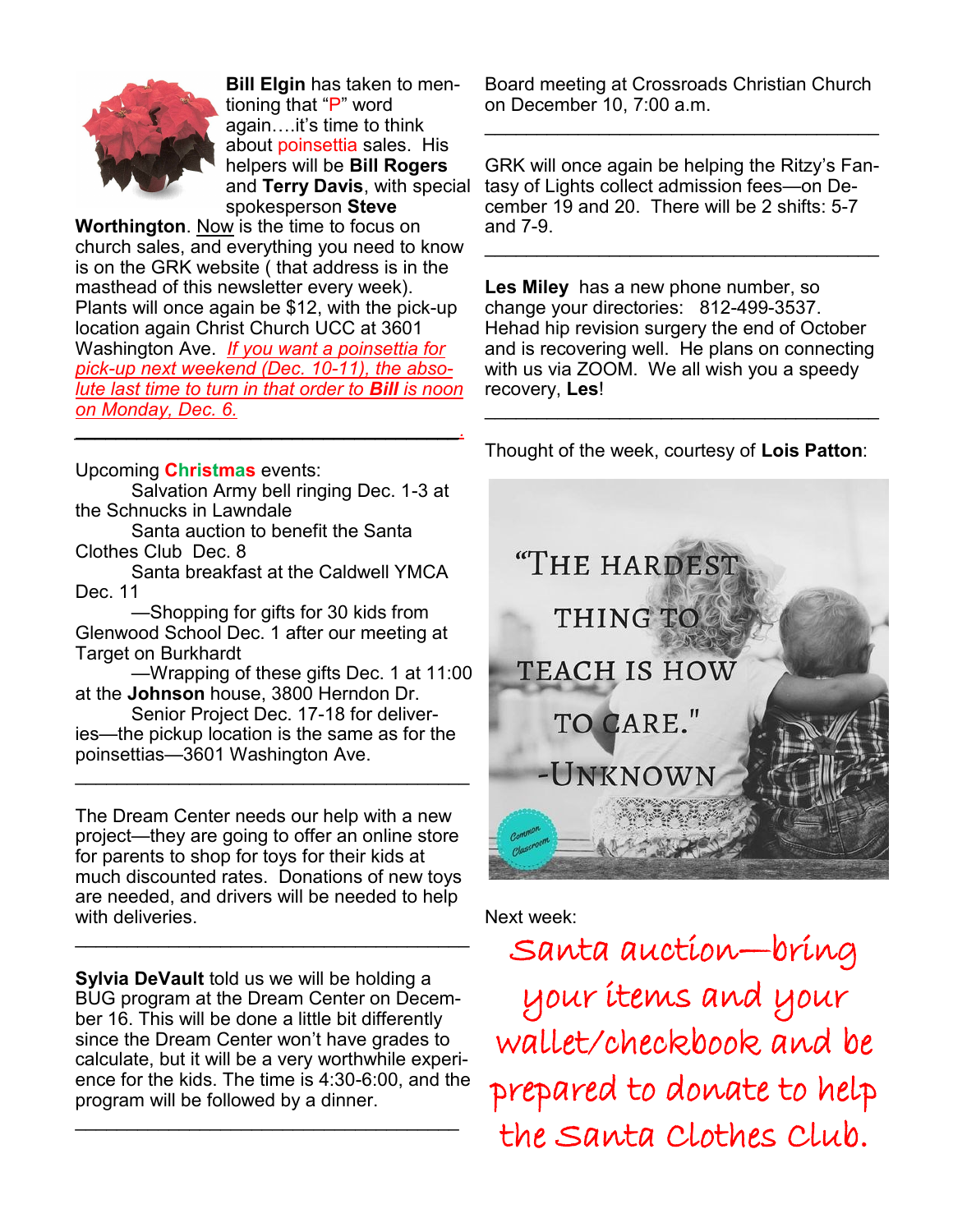

**Bill Elgin** has taken to mentioning that "P" word again….it's time to think about poinsettia sales. His helpers will be **Bill Rogers**  and **Terry Davis**, with special spokesperson **Steve** 

**Worthington.** Now is the time to focus on church sales, and everything you need to know is on the GRK website ( that address is in the masthead of this newsletter every week). Plants will once again be \$12, with the pick-up location again Christ Church UCC at 3601 Washington Ave. *If you want a poinsettia for pick-up next weekend (Dec. 10-11), the absolute last time to turn in that order to Bill is noon on Monday, Dec. 6. \_\_\_\_\_\_\_\_\_\_\_\_\_\_\_\_\_\_\_\_\_\_\_\_\_\_\_\_\_\_\_\_\_\_\_\_\_.*

Upcoming **Christmas** events:

Salvation Army bell ringing Dec. 1-3 at the Schnucks in Lawndale

Santa auction to benefit the Santa Clothes Club Dec. 8

Santa breakfast at the Caldwell YMCA Dec. 11

—Shopping for gifts for 30 kids from Glenwood School Dec. 1 after our meeting at Target on Burkhardt

—Wrapping of these gifts Dec. 1 at 11:00 at the **Johnson** house, 3800 Herndon Dr.

Senior Project Dec. 17-18 for deliveries—the pickup location is the same as for the poinsettias—3601 Washington Ave.

 $\mathcal{L}_\text{max}$  , and the set of the set of the set of the set of the set of the set of the set of the set of the set of the set of the set of the set of the set of the set of the set of the set of the set of the set of the

The Dream Center needs our help with a new project—they are going to offer an online store for parents to shop for toys for their kids at much discounted rates. Donations of new toys are needed, and drivers will be needed to help with deliveries.

 $\mathcal{L}_\text{max}$  , and the set of the set of the set of the set of the set of the set of the set of the set of the set of the set of the set of the set of the set of the set of the set of the set of the set of the set of the

**Sylvia DeVault** told us we will be holding a BUG program at the Dream Center on December 16. This will be done a little bit differently since the Dream Center won't have grades to calculate, but it will be a very worthwhile experience for the kids. The time is 4:30-6:00, and the program will be followed by a dinner.

 $\mathcal{L}_\text{max}$  , and the set of the set of the set of the set of the set of the set of the set of the set of the set of the set of the set of the set of the set of the set of the set of the set of the set of the set of the

Board meeting at Crossroads Christian Church on December 10, 7:00 a.m.

 $\mathcal{L}_\text{max}$  , and the set of the set of the set of the set of the set of the set of the set of the set of the set of the set of the set of the set of the set of the set of the set of the set of the set of the set of the

GRK will once again be helping the Ritzy's Fantasy of Lights collect admission fees—on December 19 and 20. There will be 2 shifts: 5-7 and 7-9.

 $\mathcal{L}_\text{max}$  , and the set of the set of the set of the set of the set of the set of the set of the set of the set of the set of the set of the set of the set of the set of the set of the set of the set of the set of the

**Les Miley** has a new phone number, so change your directories: 812-499-3537. Hehad hip revision surgery the end of October and is recovering well. He plans on connecting with us via ZOOM. We all wish you a speedy recovery, **Les**!

Thought of the week, courtesy of **Lois Patton**:

\_\_\_\_\_\_\_\_\_\_\_\_\_\_\_\_\_\_\_\_\_\_\_\_\_\_\_\_\_\_\_\_\_\_\_\_\_\_



## Next week:

Santa auction—bring your items and your wallet/checkbook and be prepared to donate to help the Santa Clothes Club.